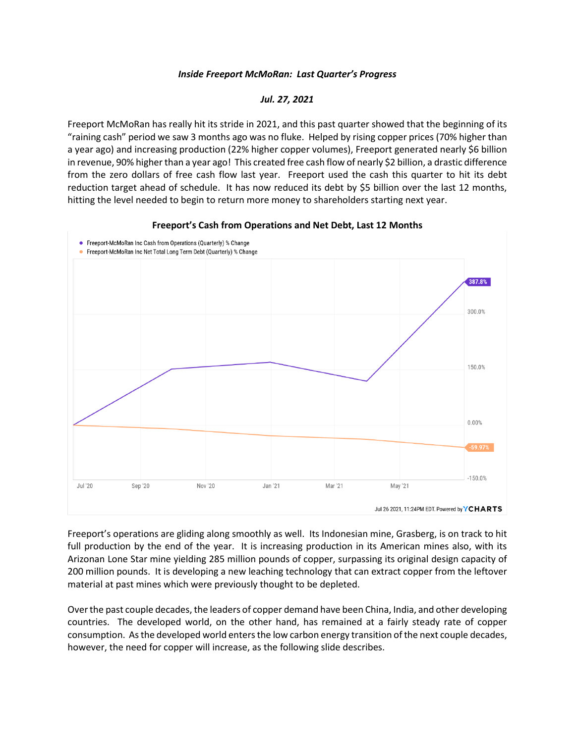## *Inside Freeport McMoRan: Last Quarter's Progress*

## *Jul. 27, 2021*

Freeport McMoRan has really hit its stride in 2021, and this past quarter showed that the beginning of its "raining cash" period we saw 3 months ago was no fluke. Helped by rising copper prices (70% higher than a year ago) and increasing production (22% higher copper volumes), Freeport generated nearly \$6 billion in revenue, 90% higher than a year ago! This created free cash flow of nearly \$2 billion, a drastic difference from the zero dollars of free cash flow last year. Freeport used the cash this quarter to hit its debt reduction target ahead of schedule. It has now reduced its debt by \$5 billion over the last 12 months, hitting the level needed to begin to return more money to shareholders starting next year.



## **Freeport's Cash from Operations and Net Debt, Last 12 Months**

Freeport's operations are gliding along smoothly as well. Its Indonesian mine, Grasberg, is on track to hit full production by the end of the year. It is increasing production in its American mines also, with its Arizonan Lone Star mine yielding 285 million pounds of copper, surpassing its original design capacity of 200 million pounds. It is developing a new leaching technology that can extract copper from the leftover material at past mines which were previously thought to be depleted.

Over the past couple decades, the leaders of copper demand have been China, India, and other developing countries. The developed world, on the other hand, has remained at a fairly steady rate of copper consumption. As the developed world enters the low carbon energy transition of the next couple decades, however, the need for copper will increase, as the following slide describes.